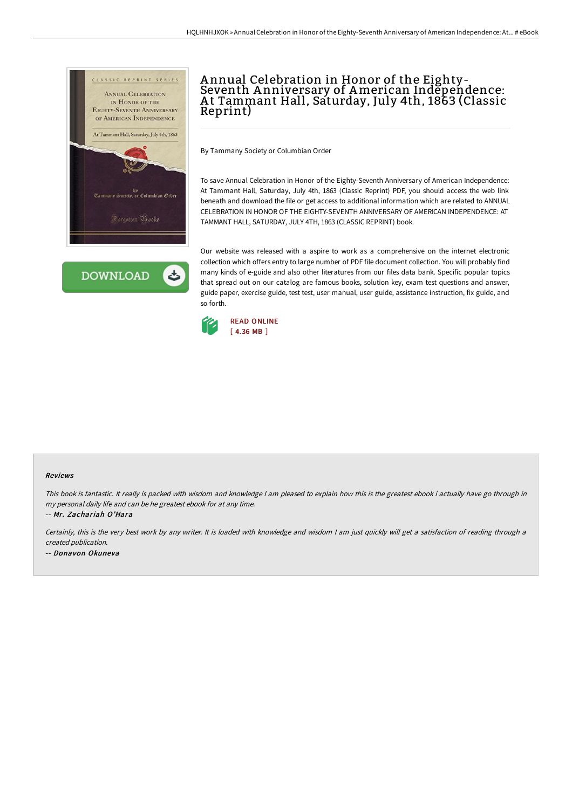



# A nnual Celebration in Honor of the Eighty-Seventh A nniversary of American Independence: A t Tammant Hall, Saturday, July 4th, 1863 (Classic Reprint)

By Tammany Society or Columbian Order

To save Annual Celebration in Honor of the Eighty-Seventh Anniversary of American Independence: At Tammant Hall, Saturday, July 4th, 1863 (Classic Reprint) PDF, you should access the web link beneath and download the file or get access to additional information which are related to ANNUAL CELEBRATION IN HONOR OF THE EIGHTY-SEVENTH ANNIVERSARY OF AMERICAN INDEPENDENCE: AT TAMMANT HALL, SATURDAY, JULY 4TH, 1863 (CLASSIC REPRINT) book.

Our website was released with a aspire to work as a comprehensive on the internet electronic collection which offers entry to large number of PDF file document collection. You will probably find many kinds of e-guide and also other literatures from our files data bank. Specific popular topics that spread out on our catalog are famous books, solution key, exam test questions and answer, guide paper, exercise guide, test test, user manual, user guide, assistance instruction, fix guide, and so forth.



#### Reviews

This book is fantastic. It really is packed with wisdom and knowledge <sup>I</sup> am pleased to explain how this is the greatest ebook i actually have go through in my personal daily life and can be he greatest ebook for at any time. -- Mr. Zachariah O'Hara

Certainly, this is the very best work by any writer. It is loaded with knowledge and wisdom <sup>I</sup> am just quickly will get <sup>a</sup> satisfaction of reading through <sup>a</sup>

created publication.

-- Donavon Okuneva